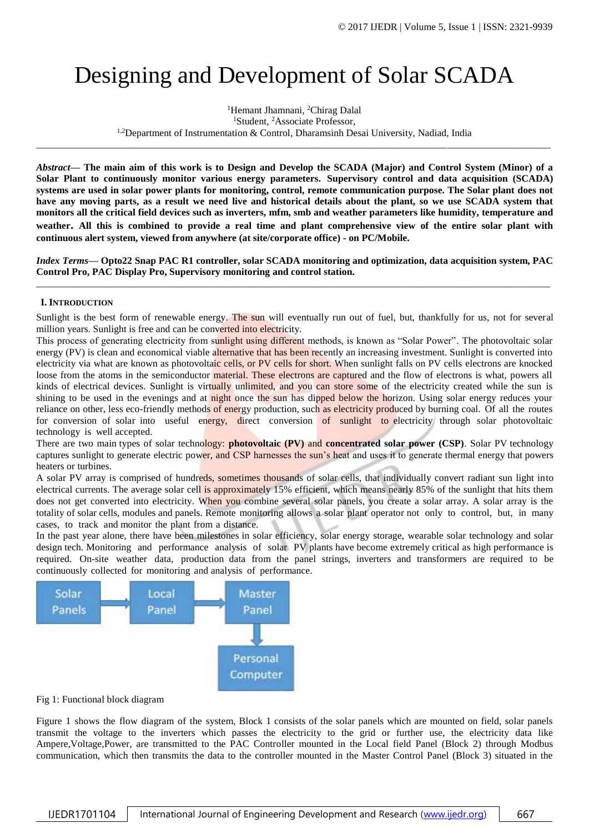# Designing and Development of Solar SCADA

<sup>1</sup>Hemant Jhamnani, <sup>2</sup>Chirag Dalal <sup>1</sup>Student, <sup>2</sup>Associate Professor, <sup>1,2</sup>Department of Instrumentation & Control, Dharamsinh Desai University, Nadiad, India

\_\_\_\_\_\_\_\_\_\_\_\_\_\_\_\_\_\_\_\_\_\_\_\_\_\_\_\_\_\_\_\_\_\_\_\_\_\_\_\_\_\_\_\_\_\_\_\_\_\_\_\_\_\_\_\_\_\_\_\_\_\_\_\_\_\_\_\_\_\_\_\_\_\_\_\_\_\_\_\_\_\_\_\_\_\_\_\_\_\_\_\_\_\_\_\_\_\_\_\_\_\_\_\_

*Abstract***— The main aim of this work is to Design and Develop the SCADA (Major) and Control System (Minor) of a Solar Plant to continuously monitor various energy parameters. Supervisory control and data acquisition (SCADA) systems are used in solar power plants for monitoring, control, remote communication purpose. The Solar plant does not have any moving parts, as a result we need live and historical details about the plant, so we use SCADA system that monitors all the critical field devices such as inverters, mfm, smb and weather parameters like humidity, temperature and weather. All this is combined to provide a real time and plant comprehensive view of the entire solar plant with continuous alert system, viewed from anywhere (at site/corporate office) - on PC/Mobile.**

*Index Terms***— Opto22 Snap PAC R1 controller, solar SCADA monitoring and optimization, data acquisition system, PAC Control Pro, PAC Display Pro, Supervisory monitoring and control station.** *\_\_\_\_\_\_\_\_\_\_\_\_\_\_\_\_\_\_\_\_\_\_\_\_\_\_\_\_\_\_\_\_\_\_\_\_\_\_\_\_\_\_\_\_\_\_\_\_\_\_\_\_\_\_\_\_\_\_\_\_\_\_\_\_\_\_\_\_\_\_\_\_\_\_\_\_\_\_\_\_\_\_\_\_\_\_\_\_\_\_\_\_\_\_\_\_\_\_\_\_\_\_\_\_*

### **I. INTRODUCTION**

Sunlight is the best form of renewable energy. The sun will eventually run out of fuel, but, thankfully for us, not for several million years. Sunlight is free and can be converted into electricity.

This process of generating electricity from sunlight using different methods, is known as "Solar Power". The photovoltaic solar energy (PV) is clean and economical viable alternative that has been recently an increasing investment. Sunlight is converted into electricity via what are known as photovoltaic cells, or PV cells for short. When sunlight falls on PV cells electrons are knocked loose from the atoms in the semiconductor material. These electrons are captured and the flow of electrons is what, powers all kinds of electrical devices. Sunlight is virtually unlimited, and you can store some of the electricity created while the sun is shining to be used in the evenings and at night once the sun has dipped below the horizon. Using solar energy reduces your reliance on other, less eco-friendly methods of energy production, such as electricity produced by burning coal. Of all the routes for conversion of solar into useful energy, direct conversion of sunlight to electricity through solar photovoltaic technology is well accepted.

There are two main types of solar technology: **photovoltaic (PV)** and **concentrated solar power (CSP)**. Solar PV technology captures sunlight to generate electric power, and CSP harnesses the sun's heat and uses it to generate thermal energy that powers heaters or turbines.

A solar PV array is comprised of hundreds, sometimes thousands of solar cells, that individually convert radiant sun light into electrical currents. The average solar cell is approximately 15% efficient, which means nearly 85% of the sunlight that hits them does not get converted into electricity. When you combine several solar panels, you create a solar array. A solar array is the totality of solar cells, modules and panels. Remote monitoring allows a solar plant operator not only to control, but, in many cases, to track and monitor the plant from a distance.

In the past year alone, there have been milestones in solar efficiency, solar energy storage, wearable solar technology and solar design tech. Monitoring and performance analysis of solar PV plants have become extremely critical as high performance is required. On-site weather data, production data from the panel strings, inverters and transformers are required to be continuously collected for monitoring and analysis of performance.



#### Fig 1: Functional block diagram

Figure 1 shows the flow diagram of the system, Block 1 consists of the solar panels which are mounted on field, solar panels transmit the voltage to the inverters which passes the electricity to the grid or further use, the electricity data like Ampere,Voltage,Power, are transmitted to the PAC Controller mounted in the Local field Panel (Block 2) through Modbus communication, which then transmits the data to the controller mounted in the Master Control Panel (Block 3) situated in the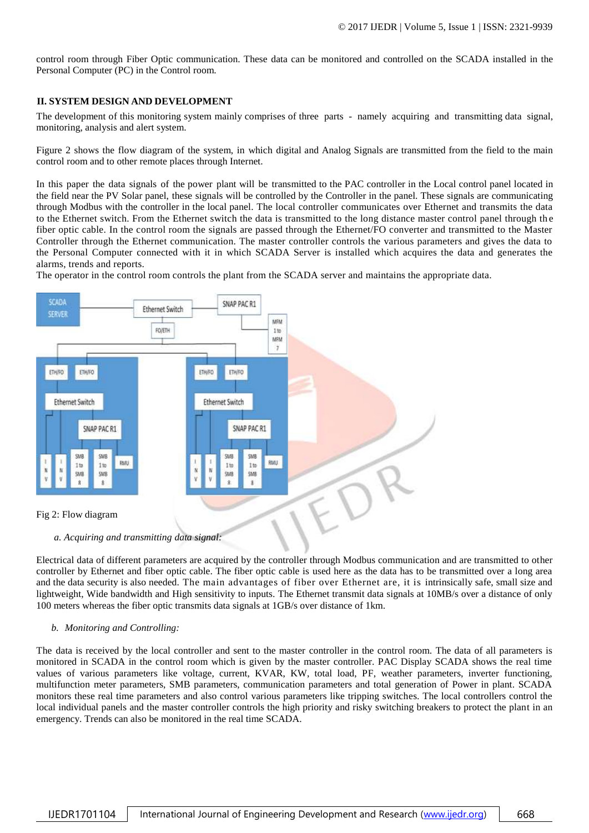control room through Fiber Optic communication. These data can be monitored and controlled on the SCADA installed in the Personal Computer (PC) in the Control room.

#### **II. SYSTEM DESIGN AND DEVELOPMENT**

The development of this monitoring system mainly comprises of three parts - namely acquiring and transmitting data signal, monitoring, analysis and alert system.

Figure 2 shows the flow diagram of the system, in which digital and Analog Signals are transmitted from the field to the main control room and to other remote places through Internet.

In this paper the data signals of the power plant will be transmitted to the PAC controller in the Local control panel located in the field near the PV Solar panel, these signals will be controlled by the Controller in the panel. These signals are communicating through Modbus with the controller in the local panel. The local controller communicates over Ethernet and transmits the data to the Ethernet switch. From the Ethernet switch the data is transmitted to the long distance master control panel through th e fiber optic cable. In the control room the signals are passed through the Ethernet/FO converter and transmitted to the Master Controller through the Ethernet communication. The master controller controls the various parameters and gives the data to the Personal Computer connected with it in which SCADA Server is installed which acquires the data and generates the alarms, trends and reports.

The operator in the control room controls the plant from the SCADA server and maintains the appropriate data.



*a. Acquiring and transmitting data signal:*

Electrical data of different parameters are acquired by the controller through Modbus communication and are transmitted to other controller by Ethernet and fiber optic cable. The fiber optic cable is used here as the data has to be transmitted over a long area and the data security is also needed. The main advantages of fiber over Ethernet are, it is intrinsically safe, small size and lightweight, Wide bandwidth and High sensitivity to inputs. The Ethernet transmit data signals at 10MB/s over a distance of only 100 meters whereas the fiber optic transmits data signals at 1GB/s over distance of 1km.

#### *b. Monitoring and Controlling:*

The data is received by the local controller and sent to the master controller in the control room. The data of all parameters is monitored in SCADA in the control room which is given by the master controller. PAC Display SCADA shows the real time values of various parameters like voltage, current, KVAR, KW, total load, PF, weather parameters, inverter functioning, multifunction meter parameters, SMB parameters, communication parameters and total generation of Power in plant. SCADA monitors these real time parameters and also control various parameters like tripping switches. The local controllers control the local individual panels and the master controller controls the high priority and risky switching breakers to protect the plant in an emergency. Trends can also be monitored in the real time SCADA.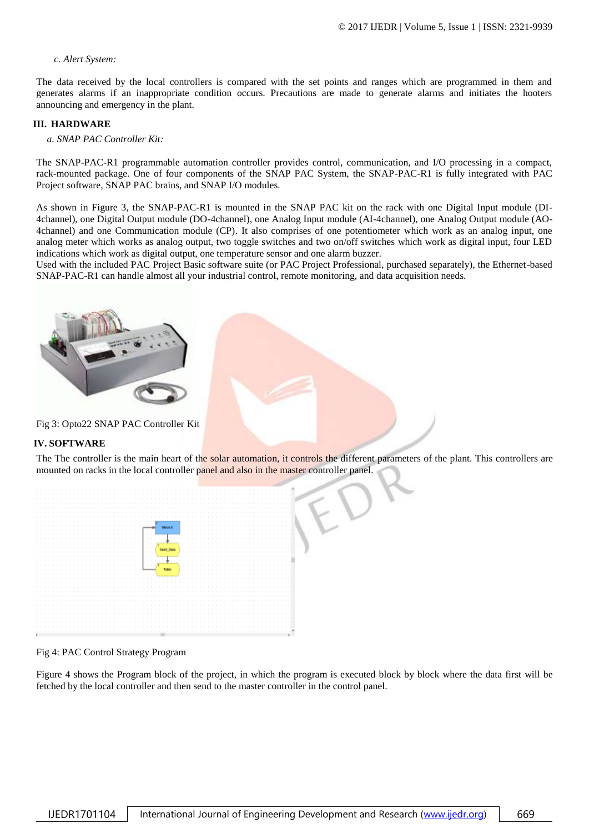#### *c. Alert System:*

The data received by the local controllers is compared with the set points and ranges which are programmed in them and generates alarms if an inappropriate condition occurs. Precautions are made to generate alarms and initiates the hooters announcing and emergency in the plant.

#### **III. HARDWARE**

*a. SNAP PAC Controller Kit:*

The SNAP-PAC-R1 programmable automation controller provides control, communication, and I/O processing in a compact, rack-mounted package. One of four components of the SNAP PAC System, the SNAP-PAC-R1 is fully integrated with PAC Project software, SNAP PAC brains, and SNAP I/O modules.

As shown in Figure 3, the SNAP-PAC-R1 is mounted in the SNAP PAC kit on the rack with one Digital Input module (DI-4channel), one Digital Output module (DO-4channel), one Analog Input module (AI-4channel), one Analog Output module (AO-4channel) and one Communication module (CP). It also comprises of one potentiometer which work as an analog input, one analog meter which works as analog output, two toggle switches and two on/off switches which work as digital input, four LED indications which work as digital output, one temperature sensor and one alarm buzzer.

Used with the included PAC Project Basic software suite (or PAC Project Professional, purchased separately), the Ethernet-based SNAP-PAC-R1 can handle almost all your industrial control, remote monitoring, and data acquisition needs.



Fig 3: Opto22 SNAP PAC Controller Kit

#### **IV. SOFTWARE**

The The controller is the main heart of the solar automation, it controls the different parameters of the plant. This controllers are mounted on racks in the local controller panel and also in the master controller panel.



#### Fig 4: PAC Control Strategy Program

Figure 4 shows the Program block of the project, in which the program is executed block by block where the data first will be fetched by the local controller and then send to the master controller in the control panel.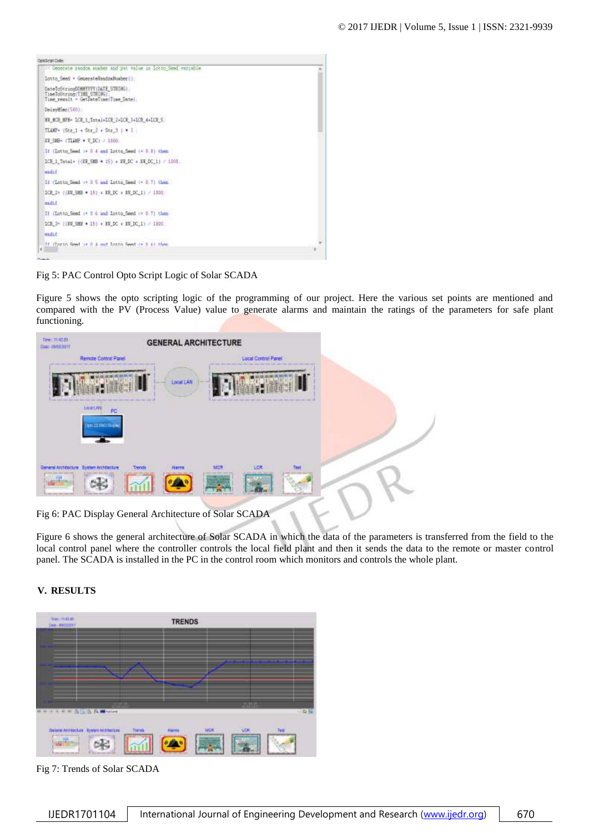

Fig 5: PAC Control Opto Script Logic of Solar SCADA

Figure 5 shows the opto scripting logic of the programming of our project. Here the various set points are mentioned and compared with the PV (Process Value) value to generate alarms and maintain the ratings of the parameters for safe plant functioning.

| Time: 11-42.20.<br>DAN: 09/02/2217                | <b>GENERAL ARCHITECTURE</b>                       |           |     |                     |                                       |  |
|---------------------------------------------------|---------------------------------------------------|-----------|-----|---------------------|---------------------------------------|--|
|                                                   | Renote Control Panel<br>and their materials three |           |     | Local Control Panel | and cars the control control come and |  |
|                                                   | <b>HELP</b>                                       | Local LAN |     |                     |                                       |  |
| <b>LIGHLAN</b>                                    | PC<br>Opti 22 Modifican                           |           |     |                     |                                       |  |
| General Architecture System Architecture<br>----- | Trends                                            | $A2 + x1$ | MCR | LCR                 | <b>Test</b>                           |  |

Fig 6: PAC Display General Architecture of Solar SCADA

Figure 6 shows the general architecture of Solar SCADA in which the data of the parameters is transferred from the field to the local control panel where the controller controls the local field plant and then it sends the data to the remote or master control panel. The SCADA is installed in the PC in the control room which monitors and controls the whole plant.

## **V. RESULTS**



Fig 7: Trends of Solar SCADA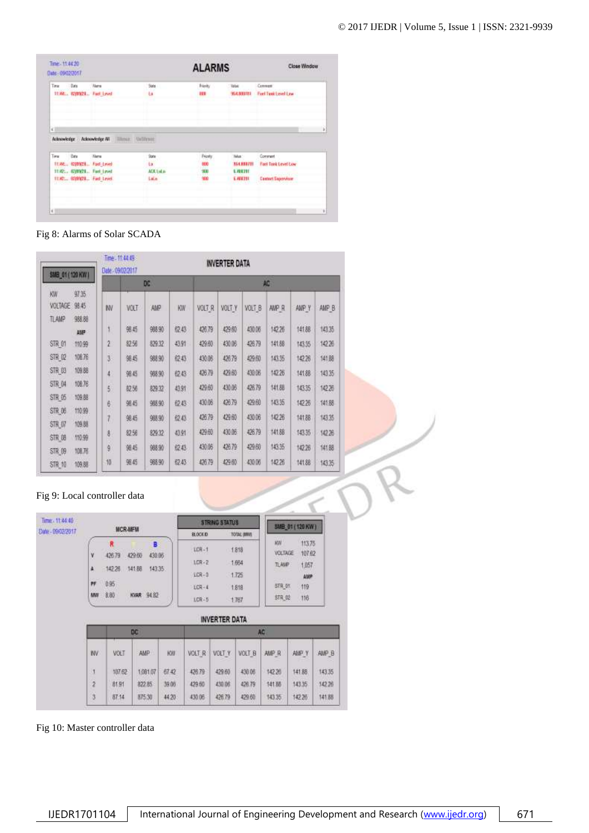|      |             | <b>Norm</b><br>1136E., 020301. Fast Level      | Sketch<br>ta. | Firsty<br>m | <b>Velon</b><br><b>YLCBBITN</b> | Comment<br>Fort Test Level Lew |
|------|-------------|------------------------------------------------|---------------|-------------|---------------------------------|--------------------------------|
|      |             |                                                |               |             |                                 |                                |
|      |             |                                                |               |             |                                 |                                |
|      |             |                                                |               |             |                                 |                                |
|      |             | Acknowledge Acknowledge All Illinian Uniformia |               |             |                                 |                                |
| Time | <b>Data</b> | <b>Nata</b>                                    | <b>State</b>  | Fricaty     | Teles:                          | Contrart                       |
|      |             | TEAC., 020321., Fuel-Level                     | ta            | ora)        | 354,833701                      | <b>Fact Tenk Level Low</b>     |
|      |             | 11:42., (QWATL., Fast Level)                   | ACK Lot a     | ×ю<br>m     | 1,498391                        | <b>Contract Experience</b>     |
|      |             | 11:42. 0209323. Fast Level.                    | Latin         | 50<br>.     | 5,488391                        | <b>Castert Saprovings</b>      |

Fig 8: Alarms of Solar SCADA

| SMB_01 (120 KW)                      |                         | Time - 11:44:49<br><b>INVERTER DATA</b><br>Dale: 09/02/2017 |            |        |       |        |        |                        |                 |        |        |
|--------------------------------------|-------------------------|-------------------------------------------------------------|------------|--------|-------|--------|--------|------------------------|-----------------|--------|--------|
|                                      |                         |                                                             |            | DC     |       |        |        |                        | AC <sub>1</sub> |        |        |
| KW<br><b>VOLTAGE</b><br><b>TLAMP</b> | 9735<br>98.45<br>988.88 | IW                                                          | VOLT       | AMP    | KW.   | VOLT R | VOLT Y | VOLT_B                 | <b>NIP R</b>    | AMP Y  | AMP B  |
|                                      | AMP-                    |                                                             | 第45        | 988.90 | 62.43 | 426.79 | 429.60 | <b>URG-B</b><br>430.06 | 142.26          | 141.88 | 14335  |
| STR 01                               | 110.99                  | $2^{\circ}$                                                 | 经统         | 829.32 | 43.91 | 429.60 | 430.06 | 426.79                 | 141.88          | 143.35 | 14226  |
| STR 02                               | 108.76                  | ÿ.                                                          | 98.45      | 988.90 | 6243  | 430.06 | 426.79 | 429.60                 | 143.35          | 14226  | 141.88 |
| STR 03                               | 109.68                  | $\ddot{ }$                                                  | 第45        | 988.90 | 62.43 | 426.79 | 429.60 | 439.06                 | 14226           | 141.88 | 1035   |
| STR D4                               | 108.76                  | 5                                                           | <b>较56</b> | 829.32 | 43.91 | 429,60 | 430.06 | 426.79                 | 141.88          | 14335  | 142.26 |
| STR 05                               | 109.88                  | 6                                                           | 驱药         | 988.90 | 位43   | 430.06 | 426.79 | 429.60                 | 143.35          | 14226  | 141.88 |
| STR 06                               | 110.99                  |                                                             | 第后         | 988.90 | 62.43 | 426.79 | 429.60 | 430.06                 | 142.26          | 141.88 | 143.35 |
| STR D7                               | 109.88                  | 1,                                                          |            |        |       | 429.60 | 430.06 | 426.79                 | 141.88          |        |        |
| <b>STR 08</b>                        | 110.99                  | 8                                                           | 82.56      | 829.32 | 43.91 |        |        |                        |                 | 14335  | 142.26 |
| STR 09                               | 108.78                  | 9                                                           | 98.45      | 988.90 | 6243  | 430.06 | 426.79 | 429.60                 | 143.35          | 142.26 | 141.88 |
| STR 10                               | 109.88                  | 10                                                          | 98.45      | 988.90 | 62.43 | 426.79 | 429.60 | 430.06                 | 14226           | 141.88 | 143.35 |

# Fig 9: Local controller data

| Time: 11:44:40<br>Date - 09/02/2017 | <b>MCR-MFM</b>                                                            |                |                       |           | <b>STRING STATUS</b>          |        |               |                      | SMB_01 (120 KW)  |        |  |
|-------------------------------------|---------------------------------------------------------------------------|----------------|-----------------------|-----------|-------------------------------|--------|---------------|----------------------|------------------|--------|--|
|                                     |                                                                           |                |                       |           | TOTAL (MW)<br><b>BLOCK ID</b> |        |               |                      |                  |        |  |
|                                     | ٧                                                                         | R<br>42679     | B<br>430.06<br>429.60 |           | <b>ICR-1</b>                  |        | 1.818         | WW<br><b>VOLTAGE</b> | 113.75<br>107.62 |        |  |
|                                     | A<br>142.26<br>143 35<br>141.88<br>0.95<br>PF<br>KVAR 94 R2<br>8.80<br>WW |                |                       | 10R-2     |                               | 1.664  |               | TLAMP<br>1,057       |                  |        |  |
|                                     |                                                                           | LCR-3<br>1.725 |                       | AMP       |                               |        |               |                      |                  |        |  |
|                                     |                                                                           |                | LCR-4<br>1.818        |           | <b>STR 01</b><br>119          |        |               |                      |                  |        |  |
|                                     |                                                                           |                |                       | $LCR - 5$ | 1.767                         |        | STR_02<br>116 |                      |                  |        |  |
|                                     | <b>INVERTER DATA</b>                                                      |                |                       |           |                               |        |               |                      |                  |        |  |
|                                     |                                                                           |                | DC                    |           |                               |        |               | AC.                  |                  |        |  |
|                                     | <b>INV</b>                                                                | m<br>VOLT      | AMP.                  | KW.       | VOLT R                        | VOLT Y | VOLT B        | AMP R                | AMP Y            | AMP B  |  |
|                                     | Jj                                                                        | 107.62         | 1,091.07              | 67.42     | 426.79                        | 429 60 | 430.06        | 142.20               | 141.88           | 143.35 |  |
|                                     | $\hat{\mathbf{z}}$                                                        | 8191           | 822.85                | 39.05     | 429.60                        | 430.06 | 426.79        | 141.88               | 143.35           | 142.26 |  |
|                                     | 3                                                                         | 87.14          | 875.30                | 4420      | 430.06                        | 426.79 | 429.60        | 143.35               | 14226            | 141.88 |  |

Fig 10: Master controller data

 $\prec$